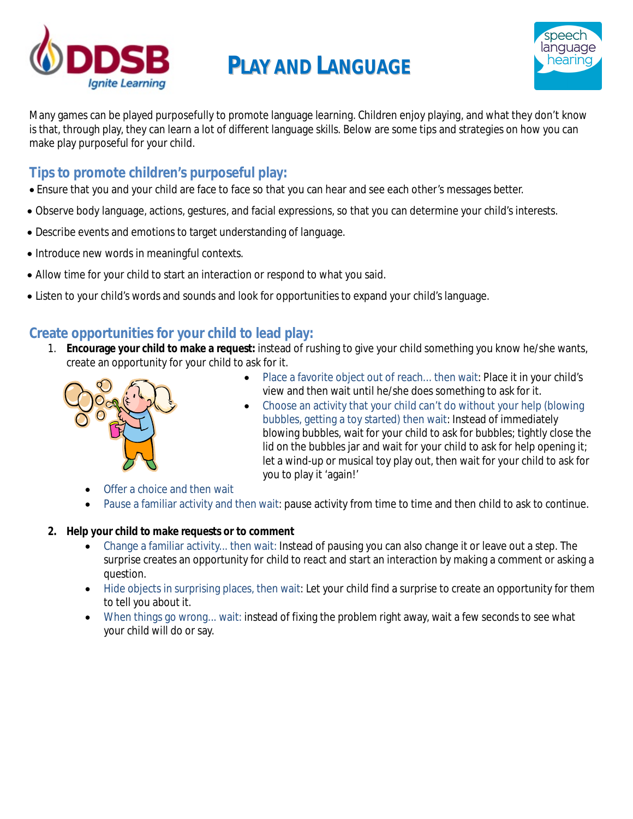

## **PLAY AND LANGUAGE**



Many games can be played purposefully to promote language learning. Children enjoy playing, and what they don't know is that, through play, they can learn a lot of different language skills. Below are some tips and strategies on how you can make play purposeful for your child.

## **Tips to promote children's purposeful play:**

- Ensure that you and your child are face to face so that you can hear and see each other's messages better.
- Observe body language, actions, gestures, and facial expressions, so that you can determine your child's interests.
- Describe events and emotions to target understanding of language.
- Introduce new words in meaningful contexts.
- Allow time for your child to start an interaction or respond to what you said.
- Listen to your child's words and sounds and look for opportunities to expand your child's language.

## **Create opportunities for your child to lead play:**

1. **Encourage your child to make a request:** instead of rushing to give your child something you know he/she wants, create an opportunity for your child to ask for it.



- Place a favorite object out of reach... then wait: Place it in your child's view and then wait until he/she does something to ask for it.
- Choose an activity that your child can't do without your help (blowing bubbles, getting a toy started) then wait: Instead of immediately blowing bubbles, wait for your child to ask for bubbles; tightly close the lid on the bubbles jar and wait for your child to ask for help opening it; let a wind-up or musical toy play out, then wait for your child to ask for you to play it 'again!'
- Offer a choice and then wait
- Pause a familiar activity and then wait: pause activity from time to time and then child to ask to continue.

## **2. Help your child to make requests or to comment**

- Change a familiar activity... then wait: Instead of pausing you can also change it or leave out a step. The surprise creates an opportunity for child to react and start an interaction by making a comment or asking a question.
- Hide objects in surprising places, then wait: Let your child find a surprise to create an opportunity for them to tell you about it.
- When things go wrong... wait: instead of fixing the problem right away, wait a few seconds to see what your child will do or say.